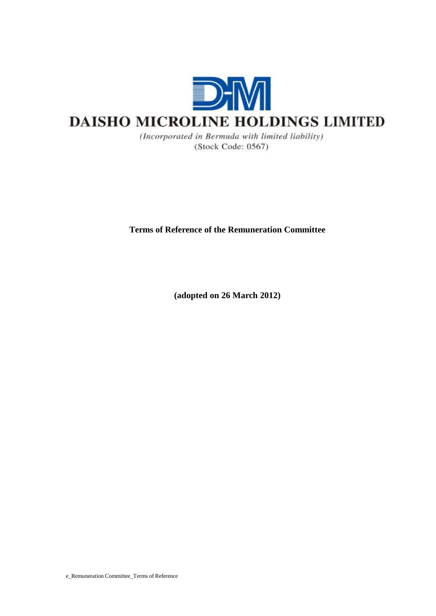

(Incorporated in Bermuda with limited liability) (Stock Code: 0567)

**Terms of Reference of the Remuneration Committee** 

**(adopted on 26 March 2012)**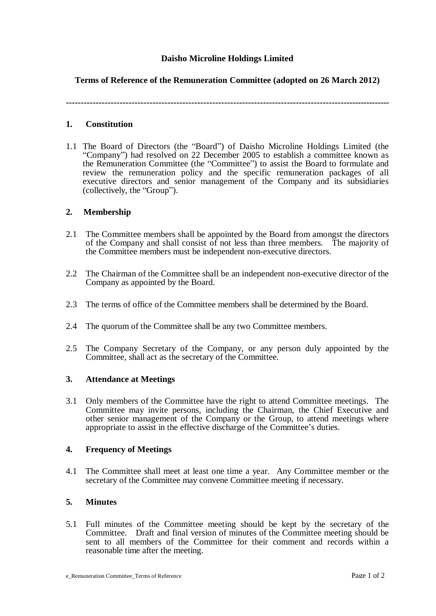# **Daisho Microline Holdings Limited**

# **Terms of Reference of the Remuneration Committee (adopted on 26 March 2012)**

**-------------------------------------------------------------------------------------------------------------**

### **1. Constitution**

1.1 The Board of Directors (the "Board") of Daisho Microline Holdings Limited (the "Company") had resolved on 22 December 2005 to establish a committee known as the Remuneration Committee (the "Committee") to assist the Board to formulate and review the remuneration policy and the specific remuneration packages of all executive directors and senior management of the Company and its subsidiaries (collectively, the "Group").

### **2. Membership**

- 2.1 The Committee members shall be appointed by the Board from amongst the directors of the Company and shall consist of not less than three members. The majority of the Committee members must be independent non-executive directors.
- 2.2 The Chairman of the Committee shall be an independent non-executive director of the Company as appointed by the Board.
- 2.3 The terms of office of the Committee members shall be determined by the Board.
- 2.4 The quorum of the Committee shall be any two Committee members.
- 2.5 The Company Secretary of the Company, or any person duly appointed by the Committee, shall act as the secretary of the Committee.

### **3. Attendance at Meetings**

3.1 Only members of the Committee have the right to attend Committee meetings. The Committee may invite persons, including the Chairman, the Chief Executive and other senior management of the Company or the Group, to attend meetings where appropriate to assist in the effective discharge of the Committee's duties.

#### **4. Frequency of Meetings**

4.1 The Committee shall meet at least one time a year. Any Committee member or the secretary of the Committee may convene Committee meeting if necessary.

# **5. Minutes**

5.1 Full minutes of the Committee meeting should be kept by the secretary of the Committee. Draft and final version of minutes of the Committee meeting should be sent to all members of the Committee for their comment and records within a reasonable time after the meeting.